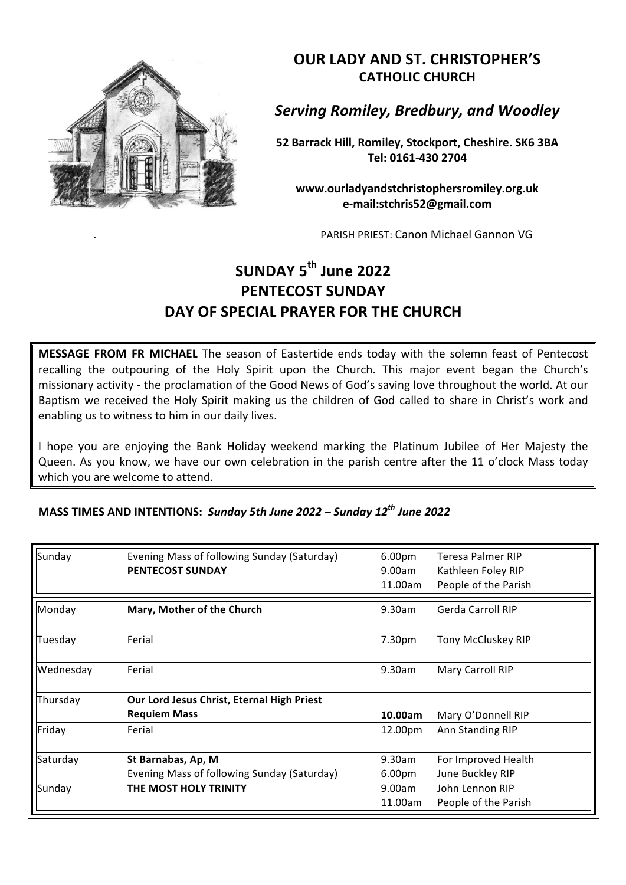

**OUR LADY AND ST. CHRISTOPHER'S CATHOLIC CHURCH**

*Serving Romiley, Bredbury, and Woodley*

**52 Barrack Hill, Romiley, Stockport, Cheshire. SK6 3BA Tel: 0161-430 2704**

**www.ourladyandstchristophersromiley.org.uk e-mail:stchris52@gmail.com**

PARISH PRIEST: Canon Michael Gannon VG

## **SUNDAY 5th June 2022 PENTECOST SUNDAY** DAY OF SPECIAL PRAYER FOR THE CHURCH

**MESSAGE FROM FR MICHAEL** The season of Eastertide ends today with the solemn feast of Pentecost recalling the outpouring of the Holy Spirit upon the Church. This major event began the Church's missionary activity - the proclamation of the Good News of God's saving love throughout the world. At our Baptism we received the Holy Spirit making us the children of God called to share in Christ's work and enabling us to witness to him in our daily lives.

I hope you are enjoying the Bank Holiday weekend marking the Platinum Jubilee of Her Majesty the Queen. As you know, we have our own celebration in the parish centre after the 11 o'clock Mass today which you are welcome to attend.

**MASS TIMES AND INTENTIONS: Sunday 5th June 2022 – Sunday 12<sup>th</sup> June 2022** 

| Sunday    | Evening Mass of following Sunday (Saturday) | 6.00 <sub>pm</sub> | Teresa Palmer RIP    |
|-----------|---------------------------------------------|--------------------|----------------------|
|           | <b>PENTECOST SUNDAY</b>                     | 9.00am             | Kathleen Foley RIP   |
|           |                                             | 11.00am            | People of the Parish |
| Monday    | Mary, Mother of the Church                  | 9.30am             | Gerda Carroll RIP    |
| Tuesday   | Ferial                                      | 7.30pm             | Tony McCluskey RIP   |
| Wednesday | Ferial                                      | 9.30am             | Mary Carroll RIP     |
| Thursday  | Our Lord Jesus Christ, Eternal High Priest  |                    |                      |
|           | <b>Requiem Mass</b>                         | 10.00am            | Mary O'Donnell RIP   |
| Friday    | Ferial                                      | 12.00pm            | Ann Standing RIP     |
| Saturday  | St Barnabas, Ap, M                          | 9.30am             | For Improved Health  |
|           | Evening Mass of following Sunday (Saturday) | 6.00 <sub>pm</sub> | June Buckley RIP     |
| Sunday    | THE MOST HOLY TRINITY                       | 9.00am             | John Lennon RIP      |
|           |                                             | 11.00am            | People of the Parish |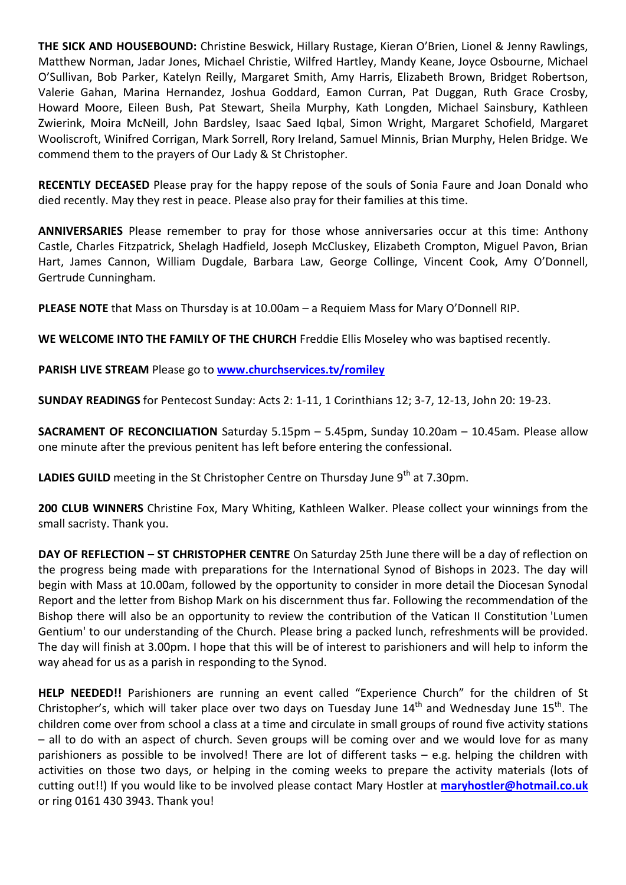**THE SICK AND HOUSEBOUND:** Christine Beswick, Hillary Rustage, Kieran O'Brien, Lionel & Jenny Rawlings, Matthew Norman, Jadar Jones, Michael Christie, Wilfred Hartley, Mandy Keane, Joyce Osbourne, Michael O'Sullivan, Bob Parker, Katelyn Reilly, Margaret Smith, Amy Harris, Elizabeth Brown, Bridget Robertson, Valerie Gahan, Marina Hernandez, Joshua Goddard, Eamon Curran, Pat Duggan, Ruth Grace Crosby, Howard Moore, Eileen Bush, Pat Stewart, Sheila Murphy, Kath Longden, Michael Sainsbury, Kathleen Zwierink, Moira McNeill, John Bardsley, Isaac Saed Iqbal, Simon Wright, Margaret Schofield, Margaret Wooliscroft, Winifred Corrigan, Mark Sorrell, Rory Ireland, Samuel Minnis, Brian Murphy, Helen Bridge. We commend them to the prayers of Our Lady & St Christopher.

**RECENTLY DECEASED** Please pray for the happy repose of the souls of Sonia Faure and Joan Donald who died recently. May they rest in peace. Please also pray for their families at this time.

**ANNIVERSARIES** Please remember to pray for those whose anniversaries occur at this time: Anthony Castle, Charles Fitzpatrick, Shelagh Hadfield, Joseph McCluskey, Elizabeth Crompton, Miguel Pavon, Brian Hart, James Cannon, William Dugdale, Barbara Law, George Collinge, Vincent Cook, Amy O'Donnell, Gertrude Cunningham.

**PLEASE NOTE** that Mass on Thursday is at 10.00am – a Requiem Mass for Mary O'Donnell RIP.

WE WELCOME INTO THE FAMILY OF THE CHURCH Freddie Ellis Moseley who was baptised recently.

**PARISH LIVE STREAM Please go to www.churchservices.tv/romiley** 

**SUNDAY READINGS** for Pentecost Sunday: Acts 2: 1-11, 1 Corinthians 12; 3-7, 12-13, John 20: 19-23.

**SACRAMENT OF RECONCILIATION** Saturday 5.15pm - 5.45pm, Sunday 10.20am - 10.45am. Please allow one minute after the previous penitent has left before entering the confessional.

**LADIES GUILD** meeting in the St Christopher Centre on Thursday June 9<sup>th</sup> at 7.30pm.

**200 CLUB WINNERS** Christine Fox, Mary Whiting, Kathleen Walker. Please collect your winnings from the small sacristy. Thank you.

**DAY OF REFLECTION - ST CHRISTOPHER CENTRE** On Saturday 25th June there will be a day of reflection on the progress being made with preparations for the International Synod of Bishops in 2023. The day will begin with Mass at 10.00am, followed by the opportunity to consider in more detail the Diocesan Synodal Report and the letter from Bishop Mark on his discernment thus far. Following the recommendation of the Bishop there will also be an opportunity to review the contribution of the Vatican II Constitution 'Lumen Gentium' to our understanding of the Church. Please bring a packed lunch, refreshments will be provided. The day will finish at 3.00pm. I hope that this will be of interest to parishioners and will help to inform the way ahead for us as a parish in responding to the Synod.

**HELP NEEDED!!** Parishioners are running an event called "Experience Church" for the children of St Christopher's, which will taker place over two days on Tuesday June  $14<sup>th</sup>$  and Wednesday June  $15<sup>th</sup>$ . The children come over from school a class at a time and circulate in small groups of round five activity stations  $-$  all to do with an aspect of church. Seven groups will be coming over and we would love for as many parishioners as possible to be involved! There are lot of different tasks  $-$  e.g. helping the children with activities on those two days, or helping in the coming weeks to prepare the activity materials (lots of cutting out!!) If you would like to be involved please contact Mary Hostler at maryhostler@hotmail.co.uk or ring 0161 430 3943. Thank you!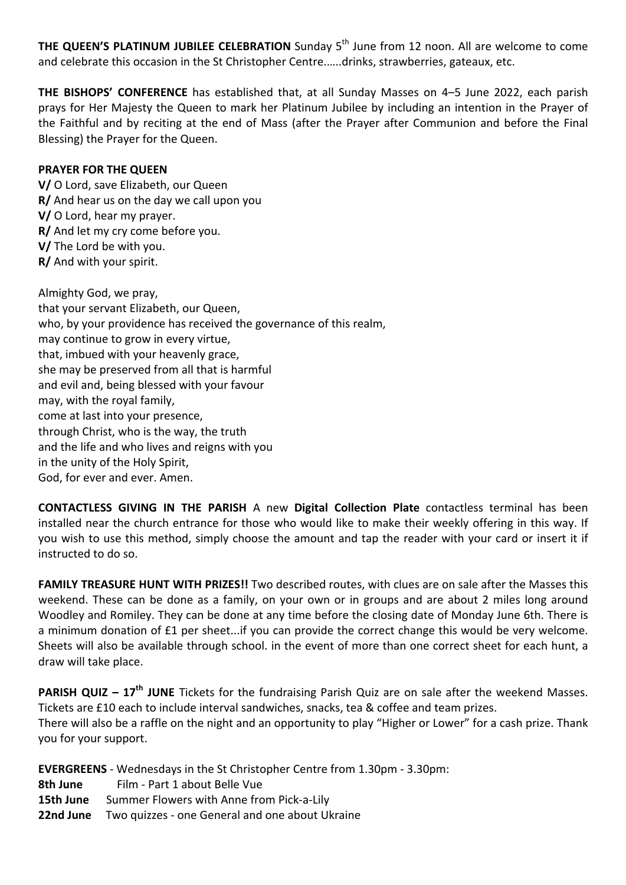**THE QUEEN'S PLATINUM JUBILEE CELEBRATION** Sunday 5<sup>th</sup> June from 12 noon. All are welcome to come and celebrate this occasion in the St Christopher Centre......drinks, strawberries, gateaux, etc.

**THE BISHOPS' CONFERENCE** has established that, at all Sunday Masses on 4-5 June 2022, each parish prays for Her Majesty the Queen to mark her Platinum Jubilee by including an intention in the Prayer of the Faithful and by reciting at the end of Mass (after the Prayer after Communion and before the Final Blessing) the Prayer for the Queen.

## **PRAYER FOR THE QUEEN**

**V/** O Lord, save Elizabeth, our Queen **R/** And hear us on the day we call upon you **V/** O Lord, hear my prayer. **R/** And let my cry come before you. **V/** The Lord be with you. **R/** And with your spirit.

Almighty God, we pray, that your servant Elizabeth, our Queen, who, by your providence has received the governance of this realm, may continue to grow in every virtue, that, imbued with your heavenly grace, she may be preserved from all that is harmful and evil and, being blessed with your favour may, with the royal family, come at last into your presence, through Christ, who is the way, the truth and the life and who lives and reigns with you in the unity of the Holy Spirit, God, for ever and ever. Amen.

**CONTACTLESS GIVING IN THE PARISH** A new Digital Collection Plate contactless terminal has been installed near the church entrance for those who would like to make their weekly offering in this way. If you wish to use this method, simply choose the amount and tap the reader with your card or insert it if instructed to do so.

**FAMILY TREASURE HUNT WITH PRIZES!!** Two described routes, with clues are on sale after the Masses this weekend. These can be done as a family, on your own or in groups and are about 2 miles long around Woodley and Romiley. They can be done at any time before the closing date of Monday June 6th. There is a minimum donation of £1 per sheet...if you can provide the correct change this would be very welcome. Sheets will also be available through school. in the event of more than one correct sheet for each hunt, a draw will take place.

**PARISH QUIZ** – 17<sup>th</sup> JUNE Tickets for the fundraising Parish Quiz are on sale after the weekend Masses. Tickets are £10 each to include interval sandwiches, snacks, tea & coffee and team prizes. There will also be a raffle on the night and an opportunity to play "Higher or Lower" for a cash prize. Thank you for your support.

**EVERGREENS** - Wednesdays in the St Christopher Centre from 1.30pm - 3.30pm:

- **8th June** Film Part 1 about Belle Vue
- **15th June** Summer Flowers with Anne from Pick-a-Lily
- **22nd June** Two quizzes one General and one about Ukraine